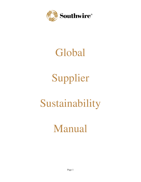

# Global

# Supplier

# Sustainability

# Manual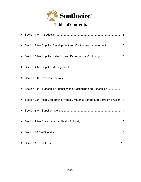

# Table of Contents

| Section 2.0 - Supplier Development and Continuous Improvement 6                   |
|-----------------------------------------------------------------------------------|
| • Section 3.0 - Supplier Selection and Performance Monitoring 6                   |
|                                                                                   |
|                                                                                   |
| • Section 6.0 - Traceability, Identification, Packaging and Scheduling 10         |
| • Section 7.0 - Non-Conforming Product/ Material Control and Corrective Action 13 |
|                                                                                   |
|                                                                                   |
|                                                                                   |
|                                                                                   |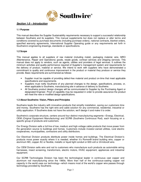

#### **Section 1.0 – Introduction**

#### **1.1 Purpose**

This manual describes the Supplier Sustainability requirements necessary to support a successful relationship between Southwire and its suppliers. This manual supplements but does not replace or alter terms and conditions covered by purchase documents (including purchase orders), national contracts, blanket orders, specified warranty agreements, International Supplier Operating guide or any requirements set forth in Southwire's engineering drawings, standards or specifications.

#### **1.2 Scope**

This manual applies to all suppliers of raw material (including metal), packaging material, wire, MRO (Maintenance, Repair and Operations) goods, resale goods, contract services and shipping services. This manual does not apply to vendors, such as agents, utilities and providers of legal services. It outlines the minimum activities and quality performance required of Supplier's management system and requirements for the delivery of product, material or service. We intend to work with suppliers who have demonstrated a commitment to quality and continuous improvement in the product or material they produce or service they provide. Basic requirements are summarized as follows:

- Supplier must be capable of providing defect-free material and product on-time that meet applicable specifications and requirements.
- Suppliers must notify Southwire of any planned changes to the design, specifications, process, or, when applicable to Southwire, manufacturing site in advance of delivery to Southwire.
- All Southwire product design changes will be communicated to Supplier by the Purchasing Agent or designated Engineer. Proof of capability may be requested in order to provide assurance the product will meet the new or modified design specifications.

#### **1.3 About Southwire: Vision, Pillars and Principles**

Southwire leads the industry with innovative products that simplify installation, saving our customers time and money. Southwire has the right wire and cable solution for any commercial, residential, industrial or utility application. If Southwire does not have the solution, we'll design it and make it to order.

Southwire's corporate structure, centers around four distinct manufacturing segments—Energy, Electrical, OEM (Original Equipment Manufacturing) and SCR® (Southwire Continuous Rod), each focusing on a specific group of products and customers.

Our Energy Division sells a full line of low, medium and high-voltage cable products that move power from the generation source to buildings and homes. Customers include investor-owned utilities, rural electric cooperatives, municipalities, contractors and utility distributors.

Our Electrical Division products distribute power inside homes and buildings. The Electrical Division's products move power exactly where it is needed, whether it's Romex® brand building wire, copper or aluminum MC, copper AC or flexible, metallic or liquid tight conduit or 600-volt or 24-kilovolt wire.

Our OEM Division sells wire and rod to customers who manufacture such products as automobile wiring harnesses, insect screening, transformers, electric motors, HVAC equipment, appliances and industrial equipment.

Our SCR® Technologies Division has been the technological leader in continuous cast copper and aluminum rod manufacturing since the 1960s. More than half of the continuous-casting copper rod capacity in the world uses our technology—which means most of the world's copper wire passes through technology provided by Southwire.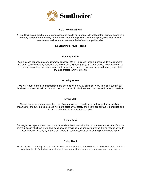

#### **SOUTHWIRE VISION**

**At Southwire, our products deliver power, and so do our people. We will sustain our company in a fiercely competitive industry by believing in and supporting our employees, who in turn, will ensure our performance, exceeds that of our competitors by:** 

### **Southwire's Five Pillars**

#### **Building Worth**

Our success depends on our customer's success. We will build worth for our shareholders, customers, and other stakeholders by achieving the lowest cost, highest quality, and best service in our industry. To do this, we must lead our core markets with superior products; grow steadily, spend wisely, keep debt low, and protect our investments.

#### **Growing Green**

We will reduce our environmental footprint, even as we grow. By doing so, we will not only sustain our business, but we also will help sustain the communities in which we work and the world in which we live.

#### **Living Well**

We will preserve and enhance the lives of our employees by building a workplace that is satisfying, meaningful, and fun. In doing so, we will make certain that safety and health are always top priorities and will treat each other with dignity and respect.

#### **Giving Back**

Our neighbors depend on us, just as we depend on them. We will strive to improve the quality of life in the communities in which we work. This goes beyond providing jobs and paying taxes. It also means giving to those in need, not only by sharing our financial resources, but also by sharing our time and talent.

#### **Doing Right**

We will foster a culture guided by ethical values. We will not forget to live up to those values, even when it might be difficult. And when we make mistakes, we will be transparent and responsive to our critics.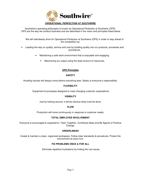

Southwire's operating philosophy is known as Operational Perfection at Southwire (OPS). OPS are the way we conduct business and are described in the vision and principles listed below.

We will relentlessly drive for Operational Perfection at Southwire (OPS) in order to stay ahead of the competition by:

- Leading the way on quality, service and cost by building quality into our products, processes and procedures.
	- Maintaining a safe work environment that is enjoyable and engaging.
		- Maximizing our output using the least amount of resources.

#### **OPS Principles**

#### **SAFETY**

Avoiding injuries will always come before everything else. Safety is everyone's responsibility.

#### **FLEXIBILITY**

Equipment & processes designed to meet changing customer expectations.

#### **VISIBILITY**

Just by looking around, it will be obvious what must be done.

#### **FLOW**

Production will move continuously in response to customer needs.

#### **TOTAL EMPLOYEE INVOLVEMENT**

Everyone is encouraged & expected to: Team Together, Contribute Ideas and Be Agents of Positive Change.

#### **ORDERLINESS**

Create & maintain a clean, organized workspace. Follow clear standards & procedures. Protect the environment at every turn.

#### **FIX PROBLEMS ONCE & FOR ALL**

Eliminate repetitive frustrations by finding the root cause.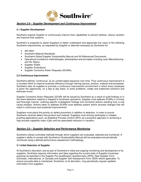

### **Section 2.0 – Supplier Development and Continuous Improvement**

#### **2.1 Supplier Development**

Southwire expects Supplier to continuously improve their capabilities to prevent defects, reduce variation and improve their systems.

Southwire is prepared to assist Suppliers to better understand and appreciate the value of the following Southwire requirements, as requested by Supplier or deemed necessary by Southwire for:

- ISO 9001.
- Southwire Material Standards.
- Southwire Global Supplier Sustainability Manual and All Referenced Documents.
- Operational excellence methodologies, philosophies and principles including Lean Manufacturing and Six Sigma.
- Supplier Audits.
- Supplier Evaluations.
- Supplier Corrective Action Requests (SCARs).

#### **2.2 Continuous Improvement**

Southwire defines "continuous" as an uninterrupted sequence over time. Thus continuous improvement is a constant effort to improve business efficiency through refining service, product, material and processes. Southwire asks its supplies to promote a continuous improvement environment in which every employee is given the opportunity, on a day to day basis, to solve problems, create and implement solutions and eliminate errors.

Supplier Corrective Action Requests (SCAR) will be issued by Southwire as a result of audit findings or in the event defective material is shipped to Southwire operations. Supplier must address SCARs in a timely and thorough manner, outlining specific investigative findings and corrective actions resulting from a root cause analysis. Actions taken to address SCARs must address system and/or process changes that will result in continuous and sustained improvements.

Suppliers must place first priority on defect prevention in addition to detection, in order to ensure Southwire receives defect-free product and material. Suppliers must actively participate in mistakeproofing applications such, as Statistical Process Control (SPC) as a proactive approach in achieving a high process capability index (Cpk) and the associated reduction in variation.

#### **Section 3.0 – Supplier Selection and Performance Monitoring**

Southwire utilizes controlled methods through which suppliers are evaluated, selected and monitored. A supplier's ability to comply with Southwire's Sustainability Manual will be evaluated and periodically monitored using a defined performance assessment methodology.

#### **3.1 Initial Selection of Supplier**

At Southwire's discretion and as part of Southwire's initial and ongoing monitoring and development of its suppliers, Southwire requires information and data regarding the current state of Supplier's business practices as specified in the Supplier Pre-Qualification Questionnaire (SPQ), New Supplier Form (Domestic, International, or Canada) and Supplier Self-Assessment Form (SSA) where applicable. To ensure accurate data is maintained, Southwire, at its discretion, may periodically request updated information from suppliers.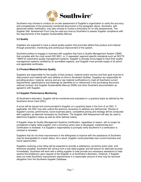

Southwire may choose to conduct an on-site assessment of Supplier's organization to verify the accuracy and completeness of the previously mentioned documents in the paragraph above. Southwire, with advanced written notification, may also choose to involve a third-party for on-site assessments. The Supplier Self- Assessment Form may be used any time by Southwire to assess Supplier compliance with the requirements of the Supplier Sustainability Manual.

#### **3.2 Quality**

Suppliers are expected to have a robust quality system that promotes defect-free product and material through prevention, monitoring and continuous improvement of the system.

Southwire prefers to engage in business with suppliers that have a Quality Management System (QMS) that complies with the most recent ISO 9001, or, if requested, segment specific standards such as ISO/TS 16949 for automotive quality management systems. Supplier is strongly encouraged to have their quality management systems certified by an accredited registrar, and Supplier must provide copies of all active and applicable certificates.

#### **3.3 Product/Material/Service Quality**

Suppliers are responsible for the quality of their product, material and/or service and their goal must be to ship product and material with zero defects on-time to Southwire facilities. Suppliers are responsible for providing product, material, service and any raw material certifications to meet all Southwire current requirements, specifications and drawings as identified on or referenced in the purchasing document, national contract, this Supplier Sustainability Manual (SSM) and other Southwire documentation as agreed to with Supplier.

#### **3.4 Supplier Performance Monitoring**

At Southwire's discretion, Supplier will be monitored and evaluated on a quarterly basis as defined by the Southwire Score Card (SSC).

A score will be issued and communicated to Supplier on a quarterly basis in the form of an SSC. If applicable, the SSC may also outline the action(s) necessary to address any deficiencies. Review of Supplier's scores, performance, future business plans, competitive pricing and strategy will be conducted with suppliers, as deemed necessary by Southwire. The Supplier Self-Assessment will also be used to determine Supplier's status as well as other defined criteria.

If Supplier loses its Quality Management Systems Certification, regardless of reason, will no longer be considered a highly rated supplier until a corrective action plan is developed, implemented and Certification is renewed. It is Supplier's responsibility to promptly notify Southwire if a certification is revoked or renewed.

Suppliers that do not show improvement or the willingness to improve with the assistance of Southwire may be downgraded to a lower status. As a result, Supplier could potentially lose current business and future opportunities.

Suppliers receiving a low rating will be expected to provide a satisfactory corrective action plan, and whenever possible, Southwire will not buy from a low rated supplier and will search for alternate sources immediately. Southwire will work with a willing supplier to help provide any necessary assistance to help resolve the problem(s) upon request of the Supplier or at Southwire's discretion. However, if Supplier does not meet Southwire improvement requirements in a reasonable amount of time may be removed altogether from the Southwire Supplier Database.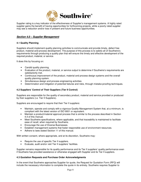

Supplier rating is a key indicator of the effectiveness of Supplier's management systems. A highly rated supplier gains the benefit of having opportunities for forthcoming projects, while a poorly rated supplier may see a reduction and/or loss in present and future business opportunities.

### **Section 4.0 – Supplier Management**

#### **4.1 Quality Planning**

Suppliers should implement quality planning activities to communicate and provide timely, defect free product, material and process development. The purpose of this process is to satisfy all of Southwire's requirements through producing a quality plan that will ensure the timely and effective development of the required product, material, or service.

It does this by focusing on:

- Candid quality planning.
- Evaluation of the product, material, or service output to determine if Southwire's requirements are satisfactorily met.
- Continuous improvement of the product, material and process design systems and the overall quality planning system.
- Simultaneous design and process engineering activities
- Determination and mitigation of potential failures and risks, through mistake-proofing techniques.

#### **4.2 Suppliers' Control of Their Suppliers (Tier II Control)**

Suppliers are responsible for the quality of secondary product, material and service provided or produced by their suppliers (i.e. Tier II Suppliers).

Suppliers are encouraged to require that their Tier II suppliers:

- Maintain, operate and comply with a vigorous Quality Management System that, at a minimum, is compliant with the latest version of ISO 9001 or equivalent.
- Maintain a product/material approval process that is similar to the process described in Section 4.4 of this manual.
- Meet Southwire specifications, where applicable, and that traceability is maintained to facilitate ease of recall, when required by Southwire.
- Encourage the use of Diverse Businesses.
- Establish management systems that foster responsible use of environment resources.
- Adhere to laws stated Section 11 of this manual.

With written consent, where appropriate, and at its discretion, Southwire may:

- Require the use of specific Tier II suppliers.
- Evaluate, audit and/or visit Tier II suppliers' facilities.

Supplier remains responsible for its quality performance and its Tier II suppliers' quality performance even if Southwire has provided assistance or otherwise engaged with Supplier and its Tier II suppliers.

#### **4.3 Quotation Requests and Purchase Order Acknowledgments**

In the event that Southwire approaches Supplier for quote, the Request for Quotation Form (RFQ) will include the necessary information to complete the quote in its entirety. Southwire requires Supplier to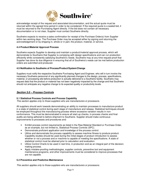

acknowledge receipt of the request and associated documentation, and the actual quote must be returned within the agreed time period in order to be considered. If the required quote is a sealed bid, it must be returned to the Purchasing Agent directly. If the bid does not contain all necessary documentation or is not clear, Supplier must contact Southwire directly.

Southwire expects to receive a sales confirmation for receipt of the Purchase Order(s) from Supplier within two working days. The Purchase Order may be accepted either by signing and returning the acknowledgement or by shipping in, whole or in part, the product, material, or service.

#### **4.4 Product/Material Approval Process**

Southwire expects Supplier to develop and maintain a product/material approval process, which will demonstrate to Southwire that Supplier is complying with design specifications and can run production efficiently while consistently satisfying Southwire's needs. Southwire may at any time request proof that Supplier has done its due diligence in ensuring that all of Southwire's needs can be met before production orders are submitted and produced.

#### **4.5 Notification to Southwire of Process/Product/System/Change**

Suppliers must notify the respective Southwire Purchasing Agent and Engineer, who will in turn involve the necessary Southwire personnel of any significantly planned changes to the design, process, specifications, material, or processing site before production is actually delivered to a Southwire facility. Southwire may request data that the product or material has not been negatively impacted by the change and that Southwire should not anticipate any negative change to its expected quality or productivity levels.

#### **Section 5.0 – Process Controls**

#### **5.1 Statistical Process Controls and Process Capability**

This section applies only to those suppliers who are manufacturers or processors.

All suppliers should work towards demonstrating an ability to maintain processes to manufacture product in a state of statistical control during each stage of manufacture and release. Statistical techniques should be employed throughout the manufacturing process where excessive variation results in nonconformance. This must be demonstrated to ensure all start-up checks, in-process checks and final audits are being adhered to before shipment to Southwire. Supplier should make continuous improvements to processes and procedures and:

- Exhibit process control requirements as listed in the Raw Material Standard or Purchase Order, as an example, but not limited to, Statistical Process Controls (SPC).
- Demonstrate proficient application and knowledge of the process control.
- Utilize and demonstrate the process capability to assess machine fitness to produce product. Capability studies should be used during the initial stages of product introduction to assess whether or not a process and or machine is capable of meeting the specifications. A state of statistical control must be attained prior to calculation and evaluation.
- Utilize Control Charts to be used in real time, in production and as an integral part of the decisionmaking process.
- Apply mistake-proofing methodologies, supplier controls, preventive tool and equipment maintenance programs, and other improvements must be considered to improve processes that are not capable.

#### **5.2 Preventive and Predictive Maintenance**

This section applies only to those suppliers who are manufacturers or processors.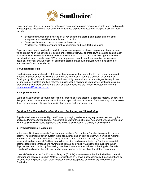

Supplier should identify key process tooling and equipment requiring preventive maintenance and provide the appropriate resources to maintain them in advance of problems occurring. Supplier's system must include:

- Scheduled maintenance activities on all key equipment, tooling, safeguards and any other equipment that would have an effect on production.
- Proper packaging and preservation of tooling resources.
- Availability of replacement parts for key equipment and manufacturing tooling.

Supplier is encouraged to develop predictive maintenance practices based on past maintenance data, which predict when the condition of equipment or tooling will wear or breakdown, so action can be taken prior to a failure. Predictive maintenance schedules should be based on a review of appropriate items, including tool wear, correlation of SPC or similar process control, data for preventive maintenance activities, important characteristics of perishable tooling and/or fluid analysis (where applicable per manufacturer's recommendations).

#### **5.3 Contingency Plan**

Southwire requires suppliers to establish contingency plans that guarantee the delivery of contracted product, material, or service within the terms of the Purchase Order in the event of an emergency. Contingency plans, at a minimum, should address utility interruptions, labor shortages, key equipment failure, natural disasters and field returns. Supplier should review and update their contingency plan at least on an annual basis and send the plan or proof of review to the Vendor Management Team at vendor.request@southwire.com.

#### **5.4 Supplier Records**

Supplier must maintain adequate records of all inspections and tests for a product, material or service for five years after payment, or shorter with written approval from Southwire. Southwire may ask to review these records as part of inspection, verification and/or performance review.

#### **Section 6.0 – Traceability, Identification, Packaging and Scheduling**

Supplier shall meet the traceability, identification, packaging and scheduling requirements set forth by the applicable Purchase Order, Supplier Agreement, or Master Product Supply Agreement. Unless agreed upon differently Southwire expects Supplier to ship the Purchase Order in its entirety in one shipment.

#### **6.1 Product/Material Traceability**

In the event Southwire requests Supplier to provide batch/lot numbers, Supplier is required to have a batch/lot number identification system that distinguishes one lot from another when shipping material. Each batch/lot of material should be clearly identified on the material packaging, on the delivery paperwork and on Material Certifications. When required and communicated by Southwire, material batches/lots must be traceable to raw material lots as identified by Supplier's sub-suppliers. When Supplier has been notified by Purchasing that their documents must adhere to the Supplier Barcode Labelling Specification, the batch/lot number must appear on the label per the stated requirement.

Material Certifications or Certificates of Analysis (C of As) must reference the Southwire Raw Material Standard and Revision Number. Material Certifications or C of As must accompany the shipment and be included with the packing list in order to accommodate acceptance of the delivery in Receiving at **Southwire**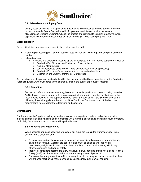

#### **6.1.1 Miscellaneous Shipping Order**

On any occasion in which a supplier or contractor of services needs to remove Southwire-owned product or material from a Southwire facility for problem resolution or required services, a Miscellaneous Shipping Order (MSO) shall be created and provided to Supplier. Southwire, when applicable, will include the Return Authorization number (RMA) to accompany the MSO.

#### **6.2 Identification**

Delivery identification requirements must include but are not limited to:

- A packing list detailing part number, quantity, batch/lot number (when required) and purchase order number.
- Labeled cartons.
	- $\circ$  All labels and characters must be legible, of adequate size, and include but are not limited to:
		- 1. Southwire Part Number identification and Revision Level
		- 2. Name of Manufacturer
		- 3. Job Number, Date Code [Week & Year of Manufacture (when applicable)]
		- 4. Southwire Purchase Order Number and corresponding line Item
		- 5. Description and Quantity of Parts per Carton / Bag

Any deviation from the packaging standards within this manual must first be communicated to the Southwire Purchasing Agent, who must agree to the change(s) prior to the supply of product or material.

#### **6.2.1 Barcoding**

Southwire prefers to receive, inventory, issue and move its product and material using barcodes. As Southwire requires barcodes for incoming product or material, Supplier must adhere to the requirements defined on the Supplier Barcode Labeling Specification. It is Southwire's intent to ultimately have all suppliers adhere to this Specification as Southwire rolls out the barcode requirements to more Southwire locations and suppliers.

#### **6.3 Packaging**

Southwire expects Supplier's packaging methods to ensure adequate and safe arrival of the product or material and facilitate safe handling and ergonomics, while marking, packing and shipping product or material set forth by Southwire and in accordance with applicable laws.

#### **6.3.1 Handling and Ergonomics**

When possible or unless specified, we expect our suppliers to ship the Purchase Order in its entirety in one shipment and:

- All containers and packaging must be designed with consideration given to ergonomics and ease of part removal. Appropriate consideration must be given to unit load height restrictions, weight restrictions, carton disassembly and other requirements, which may affect ergonomics and worker safety.
- Ideally, all containers designed to allow individual manual handling should not exceed Health & Safety (H&S) requirements of 45 lbs. maximum weight, even if palletized.
- Packages that are greater than 45 lbs. in weight should be designed in such a way that they will enhance mechanical movement and discourage individual manual handling.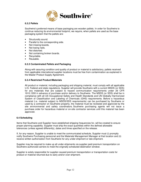

#### **6.3.2 Pallets**

Southwire's preferred means of base packaging are wooden pallets. In order for Southwire to continue reducing its environmental footprint, we require, when pallets are used as the base packaging system that the pallets are:

- Structurally sound.
- Parallel to the corresponding side.
- Not missing boards.
- Not losing nails.
- Not distorted.
- Not containing broken boards.
- Recyclable.
- Reusable.

#### **6.3.3 Contaminated Pallets and Packaging**

Along with assuring condition and quality of product or material is satisfactory, pallets received from applicable international supplier locations must be free from contamination as explained in the Master Product Supply Agreement.

#### **6.3.4 Restricted Product/Materials**

All product or material, including packaging and shipping material, must comply with all applicable U.S. Federal and state regulations. Supplier will provide Southwire with a current MSDS (or SDS) for any materials that are subject to hazard communication requirements under 29 CFR 1910.1200 in advance of purchase and/or delivery to Southwire. The MSDS (or SDS) shall be in compliance with all US Occupational Safety and Health Standards and UN Globally Harmonized System of Classification and Labeling of Chemicals (GHS) requirements. Before a hazardous material (i.e. material subject to MSDS/SDS requirements) can be purchased by Southwire or used by a contractor on Southwire property, the material must be reviewed and approved by the site environmental and safety coordinators. Southwire purchasing agents will not issue a purchase order for hazardous material or on-site contractor services until this material has been approved.

#### **6.4 Scheduling**

Items that Southwire and Supplier have established shipping frequencies for, will be created to ensure proper planning capability. Supplier must ship the exact quantities within the defined allowable tolerances (unless agreed differently), dates and times specified on the release.

If, for any reason, Supplier is unable to meet the communicated schedule, Supplier must (i) promptly notify Southwire Purchasing personnel and the Materials Management Manager at that location and (ii) receive written authorization from Southwire for any under-shipment or late shipment.

Supplier may be required to make up all under-shipments via supplier paid premium transportation on Southwire authorized carriers to meet the originally scheduled destination window.

Supplier is solely responsible for supplier-caused premium transportation or transportation costs for product or material returned due to early and/or over-shipment.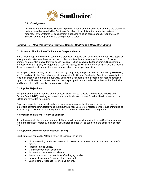

#### **6.4.1 Consignment**

In the event Southwire asks Supplier to provide product or material on consignment, the product or material must be stored within Southwire facilities until such time the product or material is required. Payment terms for consignment purchases must be agreed upon by Southwire and Supplier prior to implementing a consignment program.

### **Section 7.0 – Non-Conforming Product/ Material Control and Corrective Action**

#### **7.1 Advanced Notification of Shipment of Suspect Material**

If and when Supplier detects non-conforming product or material prior to shipment to Southwire, Supplier must promptly determine the extent of the problem and take immediate corrective action. If suspect product or material is inadvertently released to ship or is first discovered after shipment, Supplier must promptly notify the Quality Manager at the receiving facility, as well as the Purchasing Agent, and identify the non-conforming shipment of product or material and the suspect condition.

As an option, Supplier may request a deviation by completing a Supplier Deviation Request (QPD74021) and forwarding it to the Quality Manger at the receiving facility and Purchasing Agent for approval prior to receipt of product or material at Southwire. Southwire is not obligated to accept the proposed deviation. Upon prior notification and where practical, the suspect product or material will be held at the Southwire facility and returned to Supplier for corrective action.

#### **7.2 Supplier Rejections**

Any product or material found to be out of specification will be rejected and subjected to a Material Review Board (MRB) meeting for corrective action. In all cases, issues found will be documented on a SCAR and forwarded to Supplier.

Supplier is expected to undertake all necessary steps to ensure that the non-conforming product or material is contained immediately and that Southwire receives correct replacement product or material to fulfill the original Purchase Order requirements as agreed upon by the Purchasing Agent.

#### **7.3 Product and Material Return to Supplier**

If Southwire rejects the product or material, Supplier will be given the option to have Southwire scrap or return the product or material. In either event, related charges will be subjected and detailed in section 7.5.

#### **7.4 Supplier Corrective Action Request (SCAR)**

Southwire may issue a SCAR for a variety of reasons, including:

- Non-conforming product or material discovered at Southwire or at Southwire's customer's facility.
- Habitual late deliveries.
- Continual over/under shipments.
- Incorrect product/material delivered.
- Inadequate or incorrect containers/packaging received.
- Lack of shipping and/or certification paperwork.
- Lack of timely response to corrective actions.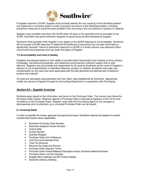

If Supplier receives a SCAR, Supplier must promptly identify the root cause(s) of the identified problem and implement a corrective action in order to prevent recurrence of the identified problem, including preventive measures to avoid the same problem from occurring in the next delivery of product or material.

Supplier must complete and return the SCAR within 30 days or the specified time as recorded on the SCAR. Southwire may grant extension requests for good cause as demonstrated by Supplier.

Southwire shall promptly notify Supplier if any aspect of the SCAR response is not acceptable. Southwire will not accept a SCAR response if it believes the likelihood of recurrence has not been eliminated or significantly reduced. Failure to effectively respond to a SCAR in a timely manner may adversely affect current and future business and may lower the status of Supplier.

#### **7.5 Accountability and Cost of Quality**

Suppliers are selected based on their ability to provide defect-free product and material on-time, product knowledge, manufacturing expertise, and responsive and proactive customer support that is costeffective. Suppliers are accountable and responsible for all costs by Southwire as the result of Supplier's delivery of out-of-specification or otherwise defective, product or material. Southwire may seek cost compensation for any fees and costs associated with the late deliveries and deficiencies of defective product and material.

All costs are calculated using standard man-hour labor rates established by Southwire. Appropriate credits are issued to Supplier through the Accounting Department in cooperation with Purchasing.

#### **Section 8.0 – Supplier Invoicing**

Southwire pays based on the information and terms on the Purchase Order. The invoice must follow the Purchase Order exactly. Shipment against a Purchase Order is deemed acceptance of the Terms and Conditions on the Purchase Order. Supplier must notify the Purchasing Agent of any changes or discrepancies prior to shipment, so a corrected Purchase Order can be issued.

#### **8.1 Invoicing Detail**

In order to expedite the review, approval and payment process, Southwire requires all suppliers to submit invoices that include (where applicable):

- Southwire Purchase Order Number.
- Southwire Assigned Vendor Number.
- Invoice Date.
- Invoice Number.
- Quantity Shipped.
- Purchase Order Unit of Measure.
- Unit Price and Extended Price.
- Total Tax Amounts.
- Discount Due Date and Amount.
- Purchase Order Payment Terms.
- Purchase Order Product/Material Description and/or Southwire Material Number.
- Purchase Order Line Item Number.
- Supplier Bill to Address and AR Contact Details.
- Southwire Delivery Address.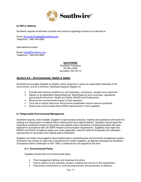

#### **8.2 Bill to Address**

Southwire requires all domestic invoices and concerns regarding invoices to be directed to:

Email: Accounts.Payable@Southwire.com Telephone: 1-800-444-2900

International invoices:

Email: Intlap@Southwire.com Telephone: 1-800-444-2900

#### **SOUTHWIRE**

Southwire Company PO Box 4000 Carrollton, GA 30112

#### **Section 9.0 – Environmental, Health & Safety**

Southwire encourages Supplier to position action programs in place as responsible stewards of the environment, and at a minimum, Southwire expects Supplier to:

- Provide safe working conditions for all employees, contractors, vendors and customers.
- Adhere to all applicable Federal/National, State/Regional and Local laws, regulations governing Environment, Health and Safety (EH&S) and Employment.
- Minimize the environmental impact of their operation.
- Limit use of natural resources and promote sustainable natural resource practices.
- Expect and communicate these EH&S requirements to their suppliers.

#### **9.1 Responsible Environmental Management**

Southwire requires, when feasible, Supplier to report product structure, material and substance information for existing and new product or material before initial product and material delivery. Suppliers should report the hazardous constituent content of all product and material sold to Southwire in writing associated with each shipment in accordance with US OSHA Hazard Communication requirements. Suppliers must report the REACH and RoHS compliance status and, when applicable, meet all California Proposition 65 notification requirements for all product and material sold to Southwire.

Suppliers are further encouraged to have implemented a comprehensive environmental management system. Southwire may choose to make this a requirement for certain suppliers, as deemed necessary by Southwire. Compliance and/or certification to ISO 14001 is preferred but not required at this time.

#### **9.1.1 Environmental Policy**

Suppliers should have an environmental policy:

- That management defines and endorses the policy.
- That is relevant to the activities, product, material and service of the organization.
	- That shows commitment to continual improvement and prevention of pollution.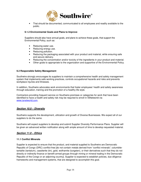

• That should be documented, communicated to all employees and readily available to the public.

#### **9.1.2 Environmental Goals and Plans to Improve**

Suppliers should also have annual goals, and plans to achieve these goals, that support the Environmental Policy, such as:

- Reducing water use.
- Reducing energy use.
- Reducing pollution.
- Reducing the packaging associated with your product and material, while ensuring safe and secure delivery.
- Reducing the concentration and/or toxicity of the ingredients in your product and material.
- Other goals to appropriate to the organization and supportive of the Environmental Policy.

#### **9.2 Responsible Safety Management**

Southwire strongly encourages its suppliers to maintain a comprehensive health and safety management system that implements safe working practices, controls occupational hazards and risks and prevents workplace injuries and illnesses.

In addition, Southwire advocates work environments that foster employees' health and safety awareness through education, training and the promotion of a healthy life style.

Contractors providing frequent service on Southwire premises or categories for work that have been identified to have a health and safety risk may be required to enroll in ISNetworld via www.isnetworld.com.

#### **Section 10.0 – Diversity**

Southwire supports the development, utilization and growth of Diverse Businesses. We expect all of our suppliers to do the same.

Southwire will expect suppliers to develop and submit Supplier Diversity Performance Plans. Supplier will be given an advanced written notification along with ample amount of time to develop requested material.

#### **Section 11.0 – Ethics**

#### **11.1 Conflict Minerals**

Supplier is expected to ensure that the product, and material supplied to Southwire are Democratic Republic of Congo (DRC) conflict-free [do not contain metals derived from "conflict minerals"; columbitetantalite (tantalum), cassiterite (tin), gold, wolframite (tungsten), or their derivatives such that they do not directly or indirectly finance or benefit armed groups through mining or mineral trading in the Democratic Republic of the Congo or an adjoining country]. Supplier is expected to establish policies, due diligence frameworks and management systems, that are designed to accomplish this goal.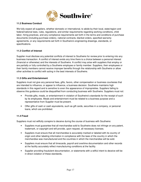

#### **11.2 Business Conduct**

We fully expect all suppliers, whether domestic or international, to abide by their local, state/region and federal/national laws, rules, regulations, and similar requirements regarding working conditions, child labor, hiring practices, and any compliance requirements set forth in the terms and conditions of purchase documents (including purchase orders), national contracts, blanket orders, specified warranty agreements, or any requirements set forth in Southwire's engineering drawings, standards, or specifications.

#### **11.3 Conflict of Interest**

Supplier must disclose any potential conflicts of interest to Southwire for review prior to entering into any business transaction. A conflict of interest exists any time there is a choice between a personal interest (financial or otherwise) and the interests of Southwire. A conflict may arise with suppliers that employ or are partially or fully controlled by a Southwire employee or family member. Suppliers, their employees or their family members cannot receive improper benefits through the relationship with Southwire or allow other activities to conflict with acting in the best interests of Southwire.

#### **11.3 Gifts and Entertainment**

Suppliers must not give any personal fees, gifts, favors, other compensation or business courtesies that are intended to influence, or appear to influence, a business decision. Southwire maintains high standards in this regard and is sensitive to even the appearance of improprieties. Suppliers failing to observe this guidance could be disqualified from conducting business with Southwire. Suppliers must not:

- Provide gifts, meals, or entertainment in violation of Southwire's standards for the receipt of such by its employees. Meals and entertainment must be related to a business purpose and a representative from Supplier must be present.
- Offer gifts of cash or cash equivalents, such as gift cards, securities in a company, or personal loans, which are prohibited.

#### **11.4 Fraud**

Suppliers must not willfully conspire to deceive during the course of business with Southwire:

- Suppliers must guarantee that all merchandise sold to Southwire does not infringe on any patent, trademark, or copyright and will provide, upon request, all necessary licenses.
- Suppliers must ensure that all merchandise is accurately marked or labeled with its country of origin and other labeling information in compliance with the laws of the country in which the merchandise was manufactured and the countries in which the merchandise will be sold.
- Suppliers must ensure that all timecards, payroll and overtime documentation and other records at the facility accurately reflect manufacturing conditions at the facility.
- Supplier providing fraudulent documentation, or statements with a willful intent to deceive will be in direct violation of these standards**.**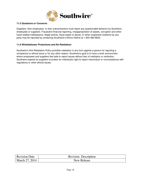

#### **11.5 Questions or Concerns**

Suppliers, their employees, or their subcontractors must report any questionable behavior by Southwire employees or suppliers. Fraudulent financial reporting, misappropriation of assets, corruption and other fraud related malfeasance, illegal activity, fiscal waste or abuse, or other suspected violations by any party may be reported by contacting Southwire's Ethics Hotline at 1-833-380-8820.

#### **11.6 Whistleblower Protections and No Retaliation**

Southwire's Anti-Retaliation Policy prohibits retaliation in any form against a person for reporting a compliance or ethical issue or for any other reason. Southwire's goal is to have a work environment where employees and suppliers feel safe to report issues without fear of retaliation or retribution. Southwire expects its suppliers to protect an individual's right to report misconduct or noncompliance with regulations or other ethical issues.

| Revision Date  | <b>Revision Description</b> |
|----------------|-----------------------------|
| March 27, 2014 | <b>New Release</b>          |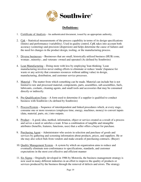

# **Definitions:**

- 1. Certificate of Analysis An authenticated document, issued by an appropriate authority,
- 2. Cpk Statistical measurements of the process capability in terms of its design specifications (limits) and performance (variability). Used in quality control, CpK takes into account both accuracy (centering) and precision (dispersion) and helps determine the cause of failures and the need for changes in the product design, tooling, or the manufacturing process.
- 3. Diverse businesses Businesses that are small, historically utilized business (HUB) zone, woman-, minority-, and veterans- owned and operated (As defined by Southwire)
- 4. Lean Manufacturing Doing more with less by employing 'lean thinking.' Lean manufacturing involves never ending efforts to eliminate or reduce 'muda' (Japanese for waste or any activity that consumes resources without adding value) in design, manufacturing, distribution, and customer service processes.
- 5. Material The matter from which something can be made. Material can include but is not limited to raw and processed material, components, parts, assemblies, sub-assemblies, fuels, lubricants, coolants, cleaning agents, and small tools and accessories that may be consumed directly or indirectly.
- 6. Pre-Qualification Form A form used to determine if a supplier is qualified to conduct business with Southwire (As defined by Southwire)
- 7. Process/System Sequence of interdependent and linked procedures which, at every stage, consume one or more resources (employee time, energy, machines, money) to convert inputs (data, material, parts, etc.) into outputs.
- 8. Product A good, idea, method, information, object or service created as a result of a process and serves a need or satisfies a want. It has a combination of tangible and intangible attributes (benefits, features, functions, uses) that a seller offers a buyer for purchase.
- 9. Purchasing Agent Administrator who assists in selection and purchase of goods and services by gathering and screening information about products, prices, and suppliers. He or she may also solicit bids from vendors and make awards of purchasing contracts. (Buyer)
- 10. Quality Management System A system by which an organization aims to reduce and eventually eliminate non-conformance to specifications, standards, and customer expectations in the most cost effective and efficient manner
- 11. Six Sigma Originally developed in 1986 by Motorola, the business management strategy is now used in many different industries in an effort to improve the quality of products or services produced by the business through the removal of defects and errors. The strategy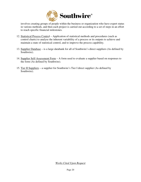

involves creating groups of people within the business or organization who have expert status in various methods, and then each project is carried out according to a set of steps in an effort to reach specific financial milestones.

- 12. Statistical Process Control Application of statistical methods and procedures (such as control charts) to analyse the inherent variability of a process or its outputs to achieve and maintain a state of statistical control, and to improve the process capability.
- 13. Supplier Database is a large databank for all of Southwire's direct suppliers (As defined by Southwire).
- 14. Supplier Self-Assessment Form A form used to evaluate a supplier based on responses to the form (As defined by Southwire).
- 15. Tier II Suppliers a supplier for Southwire's Tier I direct supplier (As defined by Southwire).

*Works Cited Upon Request*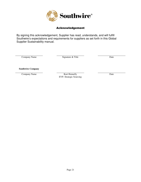

## Acknowledgement

By signing this acknowledgement, Supplier has read, understands, and will fulfill Southwire's expectations and requirements for suppliers as set forth in this Global Supplier Sustainability manual.

Company Name Signature & Title Date

**Southwire Company** 

Company Name Kurt Hennelly EVP, Strategic Sourcing Date